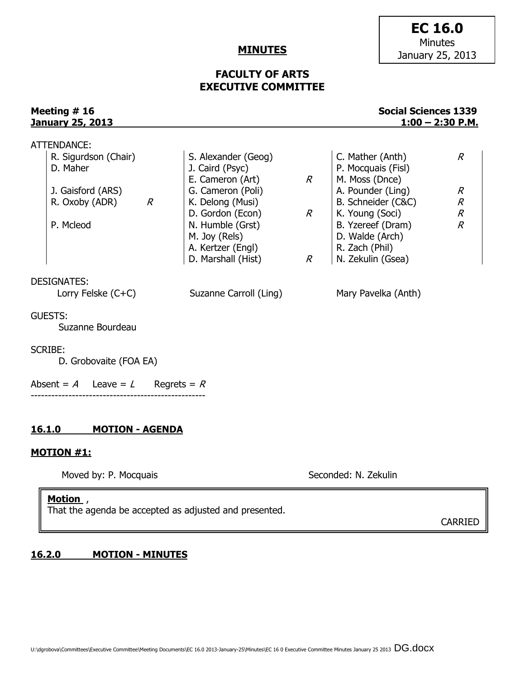#### **MINUTES**

## **FACULTY OF ARTS EXECUTIVE COMMITTEE**

**Meeting # 16** Social Sciences 1339 **January 25, 2013 1:00 – 2:30 P.M.**

| <u>16.1.0</u><br><b>MOTION - AGENDA</b><br><b>MOTION #1:</b> |                                                                      |                                                                                                                      |                                  |                                                                                                                      |                                            |
|--------------------------------------------------------------|----------------------------------------------------------------------|----------------------------------------------------------------------------------------------------------------------|----------------------------------|----------------------------------------------------------------------------------------------------------------------|--------------------------------------------|
|                                                              |                                                                      |                                                                                                                      |                                  |                                                                                                                      |                                            |
|                                                              | <b>SCRIBE:</b><br>D. Grobovaite (FOA EA)                             |                                                                                                                      |                                  |                                                                                                                      |                                            |
|                                                              | <b>GUESTS:</b><br>Suzanne Bourdeau                                   |                                                                                                                      |                                  |                                                                                                                      |                                            |
|                                                              | <b>DESIGNATES:</b><br>Lorry Felske (C+C)                             | Suzanne Carroll (Ling)                                                                                               |                                  | Mary Pavelka (Anth)                                                                                                  |                                            |
|                                                              | R. Oxoby (ADR) $R$<br>P. Mcleod                                      | K. Delong (Musi)<br>D. Gordon (Econ)<br>N. Humble (Grst)<br>M. Joy (Rels)<br>A. Kertzer (Engl)<br>D. Marshall (Hist) | $R_{\parallel}$<br>$\mathcal{R}$ | B. Schneider (C&C)<br>K. Young (Soci)<br>B. Yzereef (Dram)<br>D. Walde (Arch)<br>R. Zach (Phil)<br>N. Zekulin (Gsea) | $\cal R$<br>$\mathcal{R}$<br>$\mathcal{R}$ |
|                                                              | ATTENDANCE:<br>R. Sigurdson (Chair)<br>D. Maher<br>J. Gaisford (ARS) | S. Alexander (Geog)<br>J. Caird (Psyc)<br>E. Cameron (Art)<br>G. Cameron (Poli)                                      | $\mathcal{R}$                    | C. Mather (Anth)<br>P. Mocquais (Fisl)<br>M. Moss (Dnce)<br>A. Pounder (Ling)                                        | R<br>$\mathcal{R}$                         |

Moved by: P. Mocquais Seconded: N. Zekulin

## **Motion** ,

That the agenda be accepted as adjusted and presented.

CARRIED

### **16.2.0 MOTION - MINUTES**

# **EC 16.0** Minutes January 25, 2013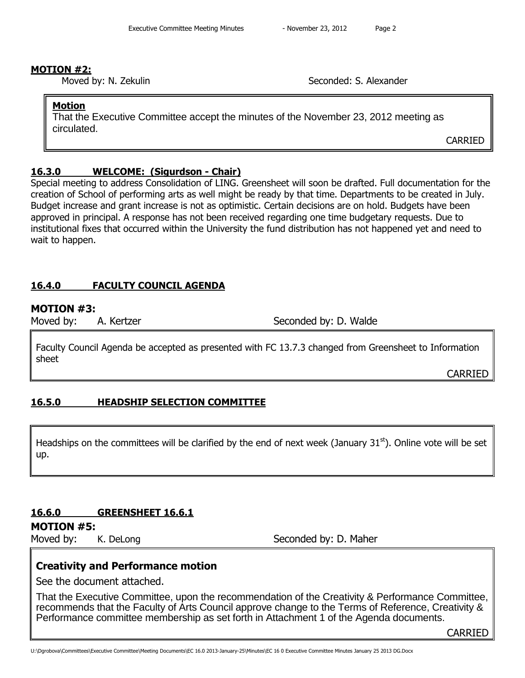## **MOTION #2:**

Moved by: N. Zekulin Seconded: S. Alexander

## **Motion**

That the Executive Committee accept the minutes of the November 23, 2012 meeting as circulated.

CARRIED

## **16.3.0 WELCOME: (Sigurdson - Chair)**

Special meeting to address Consolidation of LING. Greensheet will soon be drafted. Full documentation for the creation of School of performing arts as well might be ready by that time. Departments to be created in July. Budget increase and grant increase is not as optimistic. Certain decisions are on hold. Budgets have been approved in principal. A response has not been received regarding one time budgetary requests. Due to institutional fixes that occurred within the University the fund distribution has not happened yet and need to wait to happen.

# **16.4.0 FACULTY COUNCIL AGENDA**

## **MOTION #3:**

Moved by: A. Kertzer Seconded by: D. Walde

Faculty Council Agenda be accepted as presented with FC 13.7.3 changed from Greensheet to Information sheet

CARRIED

# **16.5.0 HEADSHIP SELECTION COMMITTEE**

Headships on the committees will be clarified by the end of next week (January 31<sup>st</sup>). Online vote will be set up.

# **16.6.0 GREENSHEET 16.6.1**

# **MOTION #5:**

Moved by: K. DeLong Seconded by: D. Maher

# **Creativity and Performance motion**

See the document attached.

That the Executive Committee, upon the recommendation of the Creativity & Performance Committee, recommends that the Faculty of Arts Council approve change to the Terms of Reference, Creativity & Performance committee membership as set forth in Attachment 1 of the Agenda documents.

**CARRIED**